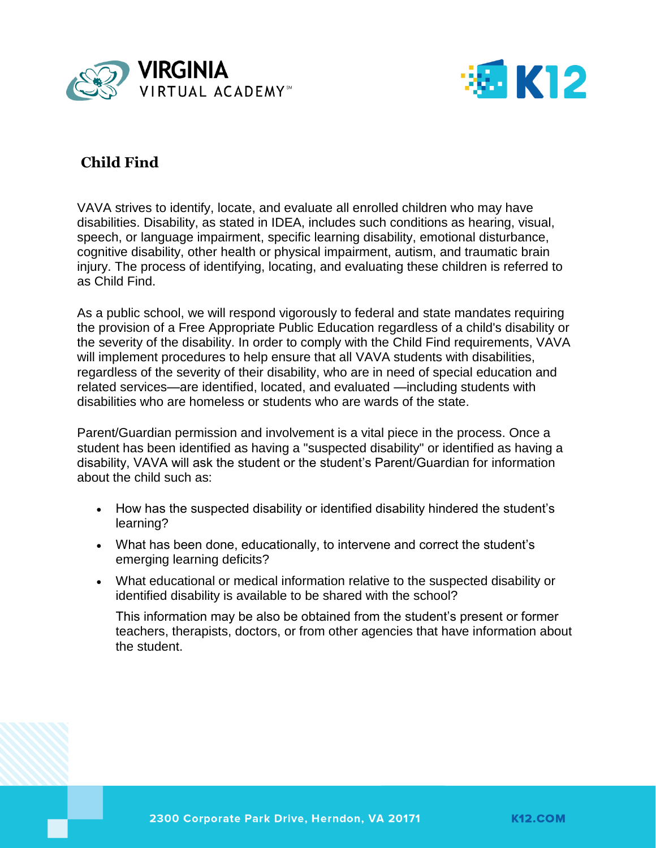



# **Child Find**

VAVA strives to identify, locate, and evaluate all enrolled children who may have disabilities. Disability, as stated in IDEA, includes such conditions as hearing, visual, speech, or language impairment, specific learning disability, emotional disturbance, cognitive disability, other health or physical impairment, autism, and traumatic brain injury. The process of identifying, locating, and evaluating these children is referred to as Child Find.

As a public school, we will respond vigorously to federal and state mandates requiring the provision of a Free Appropriate Public Education regardless of a child's disability or the severity of the disability. In order to comply with the Child Find requirements, VAVA will implement procedures to help ensure that all VAVA students with disabilities, regardless of the severity of their disability, who are in need of special education and related services—are identified, located, and evaluated —including students with disabilities who are homeless or students who are wards of the state.

Parent/Guardian permission and involvement is a vital piece in the process. Once a student has been identified as having a "suspected disability" or identified as having a disability, VAVA will ask the student or the student's Parent/Guardian for information about the child such as:

- How has the suspected disability or identified disability hindered the student's learning?
- What has been done, educationally, to intervene and correct the student's emerging learning deficits?
- What educational or medical information relative to the suspected disability or identified disability is available to be shared with the school?

This information may be also be obtained from the student's present or former teachers, therapists, doctors, or from other agencies that have information about the student.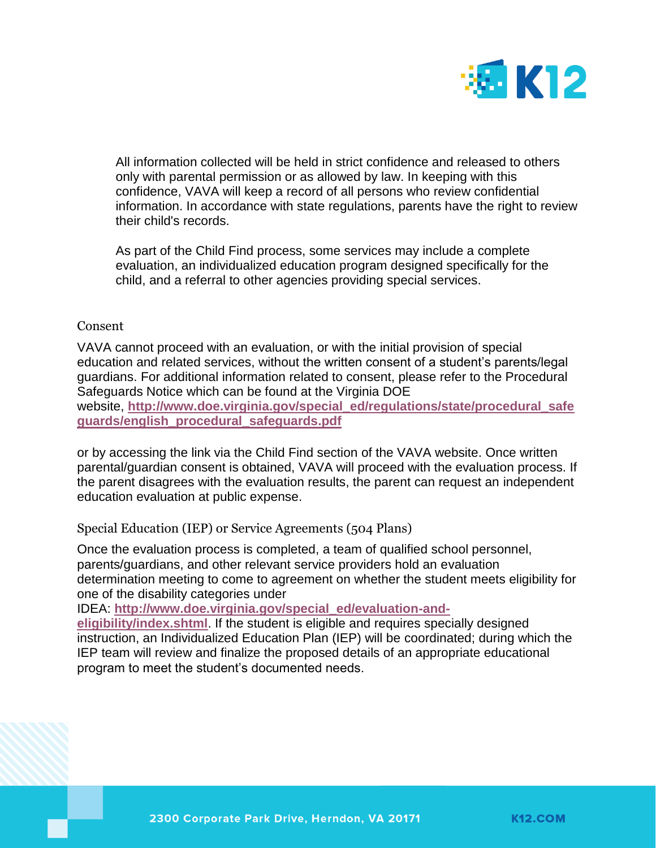

All information collected will be held in strict confidence and released to others only with parental permission or as allowed by law. In keeping with this confidence, VAVA will keep a record of all persons who review confidential information. In accordance with state regulations, parents have the right to review their child's records.

As part of the Child Find process, some services may include a complete evaluation, an individualized education program designed specifically for the child, and a referral to other agencies providing special services.

## Consent

VAVA cannot proceed with an evaluation, or with the initial provision of special education and related services, without the written consent of a student's parents/legal guardians. For additional information related to consent, please refer to the Procedural Safeguards Notice which can be found at the Virginia DOE website, **[http://www.doe.virginia.gov/special\\_ed/regulations/state/procedural\\_safe](http://www.doe.virginia.gov/special_ed/regulations/state/procedural_safeguards/english_procedural_safeguards.pdf) [guards/english\\_procedural\\_safeguards.pdf](http://www.doe.virginia.gov/special_ed/regulations/state/procedural_safeguards/english_procedural_safeguards.pdf)**

or by accessing the link via the Child Find section of the VAVA website. Once written parental/guardian consent is obtained, VAVA will proceed with the evaluation process. If the parent disagrees with the evaluation results, the parent can request an independent education evaluation at public expense.

Special Education (IEP) or Service Agreements (504 Plans)

Once the evaluation process is completed, a team of qualified school personnel, parents/guardians, and other relevant service providers hold an evaluation determination meeting to come to agreement on whether the student meets eligibility for one of the disability categories under

IDEA: **[http://www.doe.virginia.gov/special\\_ed/evaluation-and-](http://www.doe.virginia.gov/special_ed/evaluation-and-eligibility/index.shtml)**

**[eligibility/index.shtml](http://www.doe.virginia.gov/special_ed/evaluation-and-eligibility/index.shtml)**. If the student is eligible and requires specially designed instruction, an Individualized Education Plan (IEP) will be coordinated; during which the IEP team will review and finalize the proposed details of an appropriate educational program to meet the student's documented needs.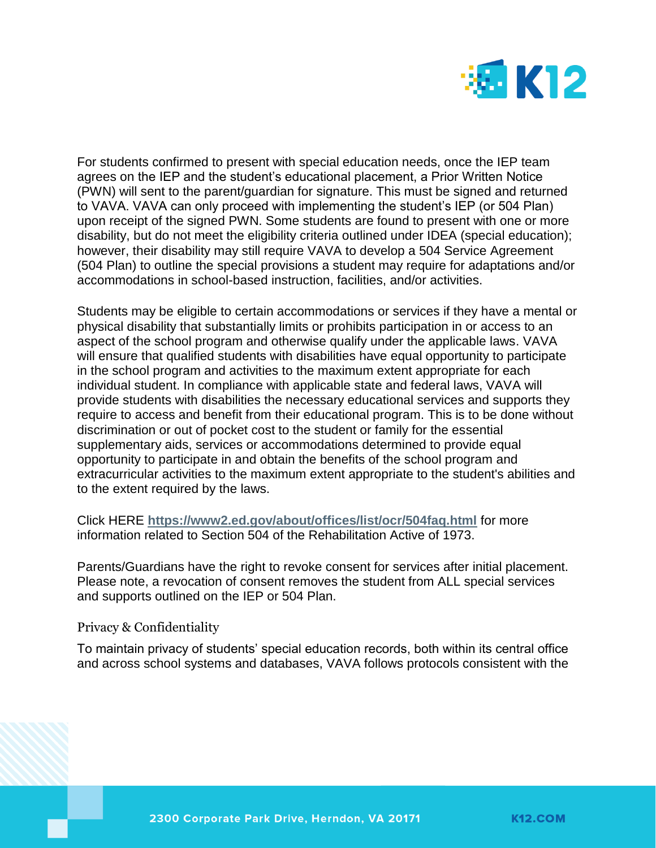

For students confirmed to present with special education needs, once the IEP team agrees on the IEP and the student's educational placement, a Prior Written Notice (PWN) will sent to the parent/guardian for signature. This must be signed and returned to VAVA. VAVA can only proceed with implementing the student's IEP (or 504 Plan) upon receipt of the signed PWN. Some students are found to present with one or more disability, but do not meet the eligibility criteria outlined under IDEA (special education); however, their disability may still require VAVA to develop a 504 Service Agreement (504 Plan) to outline the special provisions a student may require for adaptations and/or accommodations in school-based instruction, facilities, and/or activities.

Students may be eligible to certain accommodations or services if they have a mental or physical disability that substantially limits or prohibits participation in or access to an aspect of the school program and otherwise qualify under the applicable laws. VAVA will ensure that qualified students with disabilities have equal opportunity to participate in the school program and activities to the maximum extent appropriate for each individual student. In compliance with applicable state and federal laws, VAVA will provide students with disabilities the necessary educational services and supports they require to access and benefit from their educational program. This is to be done without discrimination or out of pocket cost to the student or family for the essential supplementary aids, services or accommodations determined to provide equal opportunity to participate in and obtain the benefits of the school program and extracurricular activities to the maximum extent appropriate to the student's abilities and to the extent required by the laws.

Click HERE **<https://www2.ed.gov/about/offices/list/ocr/504faq.html>** for more information related to Section 504 of the Rehabilitation Active of 1973.

Parents/Guardians have the right to revoke consent for services after initial placement. Please note, a revocation of consent removes the student from ALL special services and supports outlined on the IEP or 504 Plan.

Privacy & Confidentiality

To maintain privacy of students' special education records, both within its central office and across school systems and databases, VAVA follows protocols consistent with the